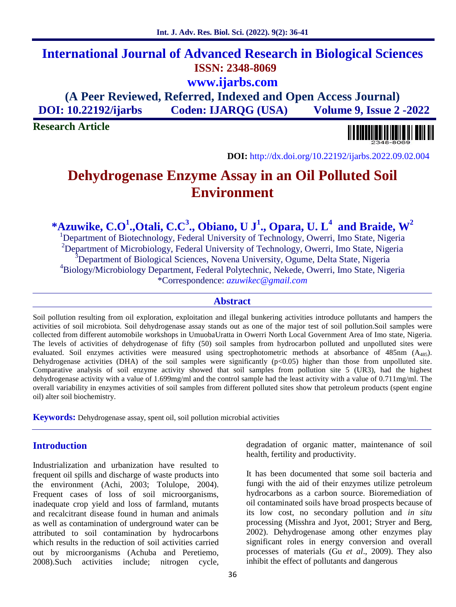# **International Journal of Advanced Research in Biological Sciences ISSN: 2348-8069 www.ijarbs.com**

**(A Peer Reviewed, Referred, Indexed and Open Access Journal) DOI: 10.22192/ijarbs Coden: IJARQG (USA) Volume 9, Issue 2 -2022**

**Research Article**



**DOI:** http://dx.doi.org/10.22192/ijarbs.2022.09.02.004

# **Dehydrogenase Enzyme Assay in an Oil Polluted Soil Environment**

**\*Azuwike, C.O<sup>1</sup> .,Otali, C.C<sup>3</sup> ., Obiano, U J<sup>1</sup> ., Opara, U. L<sup>4</sup> and Braide, W<sup>2</sup>**

<sup>1</sup>Department of Biotechnology, Federal University of Technology, Owerri, Imo State, Nigeria <sup>2</sup>Department of Microbiology, Federal University of Technology, Owerri, Imo State, Nigeria <sup>3</sup>Department of Biological Sciences, Novena University, Ogume, Delta State, Nigeria <sup>4</sup>Biology/Microbiology Department, Federal Polytechnic, Nekede, Owerri, Imo State, Nigeria \*Correspondence: *azuwikec@gmail.com*

#### **Abstract**

Soil pollution resulting from oil exploration, exploitation and illegal bunkering activities introduce pollutants and hampers the activities of soil microbiota. Soil dehydrogenase assay stands out as one of the major test of soil pollution.Soil samples were collected from different automobile workshops in UmuobaUratta in Owerri North Local Government Area of Imo state, Nigeria. The levels of activities of dehydrogenase of fifty (50) soil samples from hydrocarbon polluted and unpolluted sites were evaluated. Soil enzymes activities were measured using spectrophotometric methods at absorbance of 485nm (A<sub>485</sub>). Dehydrogenase activities (DHA) of the soil samples were significantly  $(p<0.05)$  higher than those from unpolluted site. Comparative analysis of soil enzyme activity showed that soil samples from pollution site 5 (UR3), had the highest dehydrogenase activity with a value of 1.699mg/ml and the control sample had the least activity with a value of 0.711mg/ml. The overall variability in enzymes activities of soil samples from different polluted sites show that petroleum products (spent engine oil) alter soil biochemistry.

**Keywords:** Dehydrogenase assay, spent oil, soil pollution microbial activities

# **Introduction**

Industrialization and urbanization have resulted to frequent oil spills and discharge of waste products into the environment (Achi, 2003; Tolulope, 2004). Frequent cases of loss of soil microorganisms, inadequate crop yield and loss of farmland, mutants and recalcitrant disease found in human and animals as well as contamination of underground water can be attributed to soil contamination by hydrocarbons which results in the reduction of soil activities carried out by microorganisms (Achuba and Peretiemo, 2008).Such activities include; nitrogen cycle, degradation of organic matter, maintenance of soil health, fertility and productivity.

It has been documented that some soil bacteria and fungi with the aid of their enzymes utilize petroleum hydrocarbons as a carbon source. Bioremediation of oil contaminated soils have broad prospects because of its low cost, no secondary pollution and *in situ* processing (Misshra and Jyot, 2001; Stryer and Berg, 2002). Dehydrogenase among other enzymes play significant roles in energy conversion and overall processes of materials (Gu *et al*., 2009). They also inhibit the effect of pollutants and dangerous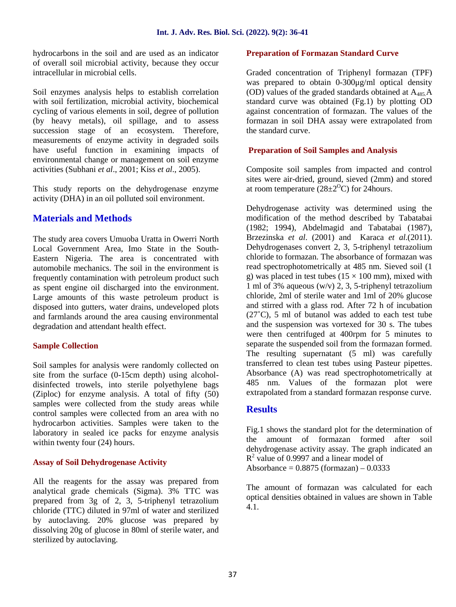hydrocarbons in the soil and are used as an indicator of overall soil microbial activity, because they occur intracellular in microbial cells.

Soil enzymes analysis helps to establish correlation with soil fertilization, microbial activity, biochemical cycling of various elements in soil, degree of pollution (by heavy metals), oil spillage, and to assess succession stage of an ecosystem. Therefore, measurements of enzyme activity in degraded soils have useful function in examining impacts of environmental change or management on soil enzyme activities (Subhani *et al*., 2001; Kiss *et al*., 2005).

This study reports on the dehydrogenase enzyme activity (DHA) in an oil polluted soil environment.

# **Materials and Methods**

The study area covers Umuoba Uratta in Owerri North Local Government Area, Imo State in the South- Eastern Nigeria. The area is concentrated with automobile mechanics. The soil in the environment is frequently contamination with petroleum product such as spent engine oil discharged into the environment. Large amounts of this waste petroleum product is disposed into gutters, water drains, undeveloped plots and farmlands around the area causing environmental degradation and attendant health effect.

# **Sample Collection**

Soil samples for analysis were randomly collected on site from the surface (0-15cm depth) using alcohol disinfected trowels, into sterile polyethylene bags (Ziploc) for enzyme analysis. A total of fifty (50) samples were collected from the study areas while control samples were collected from an area with no hydrocarbon activities. Samples were taken to the laboratory in sealed ice packs for enzyme analysis within twenty four  $(24)$  hours.

#### **Assay of Soil Dehydrogenase Activity**

All the reagents for the assay was prepared from analytical grade chemicals (Sigma). 3% TTC was prepared from 3g of 2, 3, 5-triphenyl tetrazolium chloride (TTC) diluted in 97ml of water and sterilized by autoclaving. 20% glucose was prepared by dissolving 20g of glucose in 80ml of sterile water, and sterilized by autoclaving.

#### **Preparation of Formazan Standard Curve**

Graded concentration of Triphenyl formazan (TPF) was prepared to obtain 0-300μg/ml optical density (OD) values of the graded standards obtained at  $A_{485}A$ standard curve was obtained (Fg.1) by plotting OD against concentration of formazan. The values of the formazan in soil DHA assay were extrapolated from the standard curve.

#### **Preparation of Soil Samples and Analysis**

Composite soil samples from impacted and control sites were air-dried, ground, sieved (2mm) and stored at room temperature  $(28\pm2$ <sup>O</sup>C) for 24 hours.

Dehydrogenase activity was determined using the modification of the method described by Tabatabai (1982; 1994), Abdelmagid and Tabatabai (1987), Brzezinska *et al*. (2001) and Karaca *et al.*(2011). Dehydrogenases convert 2, 3, 5-triphenyl tetrazolium chloride to formazan. The absorbance of formazan was read spectrophotometrically at 485 nm. Sieved soil (1 g) was placed in test tubes ( $15 \times 100$  mm), mixed with 1 ml of 3% aqueous (w/v) 2, 3, 5-triphenyl tetrazolium chloride, 2ml of sterile water and 1ml of 20% glucose and stirred with a glass rod. After 72 h of incubation  $(27^{\circ}$ C), 5 ml of butanol was added to each test tube and the suspension was vortexed for 30 s. The tubes were then centrifuged at 400rpm for 5 minutes to separate the suspended soil from the formazan formed. The resulting supernatant (5 ml) was carefully transferred to clean test tubes using Pasteur pipettes. Absorbance (A) was read spectrophotometrically at 485 nm. Values of the formazan plot were extrapolated from a standard formazan response curve.

# **Results**

Fig.1 shows the standard plot for the determination of the amount of formazan formed after soil dehydrogenase activity assay. The graph indicated an R <sup>2</sup> value of 0.9997 and a linear model of Absorbance =  $0.8875$  (formazan)  $-0.0333$ 

The amount of formazan was calculated for each optical densities obtained in values are shown in Table 4.1.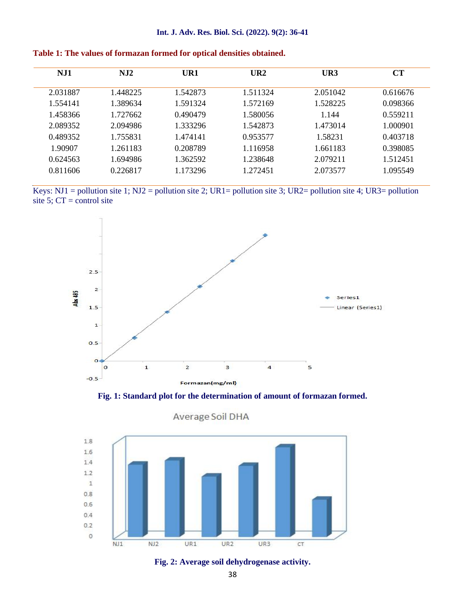| NJ1      | NJ2      | UR1      | UR2      | UR3      | CT       |
|----------|----------|----------|----------|----------|----------|
| 2.031887 | 1.448225 | 1.542873 | 1.511324 | 2.051042 | 0.616676 |
| 1.554141 | 1.389634 | 1.591324 | 1.572169 | 1.528225 | 0.098366 |
| 1.458366 | 1.727662 | 0.490479 | 1.580056 | 1.144    | 0.559211 |
| 2.089352 | 2.094986 | 1.333296 | 1.542873 | 1.473014 | 1.000901 |
| 0.489352 | 1.755831 | 1.474141 | 0.953577 | 1.58231  | 0.403718 |
| 1.90907  | 1.261183 | 0.208789 | 1.116958 | 1.661183 | 0.398085 |
| 0.624563 | 1.694986 | 1.362592 | 1.238648 | 2.079211 | 1.512451 |
| 0.811606 | 0.226817 | 1.173296 | 1.272451 | 2.073577 | 1.095549 |

| Table 1: The values of formazan formed for optical densities obtained. |  |
|------------------------------------------------------------------------|--|
|------------------------------------------------------------------------|--|

Keys: NJ1 = pollution site 1; NJ2 = pollution site 2; UR1= pollution site 3; UR2= pollution site 4; UR3= pollution site 5;  $CT =$  control site



**Fig. 1: Standard plot for the determination of amount of formazan formed.**



#### Average Soil DHA

**Fig. 2: Average soil dehydrogenase activity.**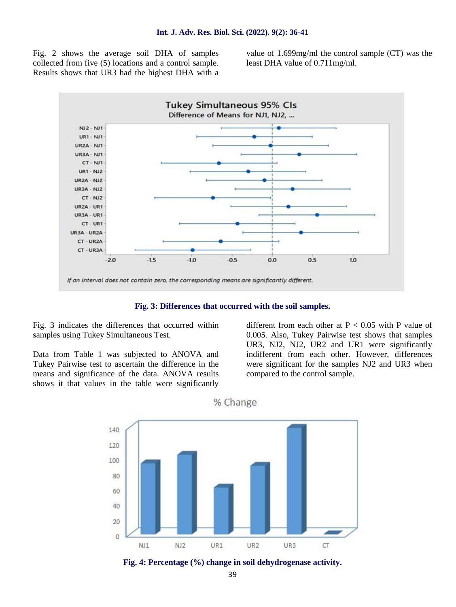Fig. 2 shows the average soil DHA of samples collected from five (5) locations and a control sample. Results shows that UR3 had the highest DHA with a value of 1.699mg/ml the control sample (CT) was the least DHA value of 0.711mg/ml.



**Fig. 3: Differences that occurred with the soil samples.**

Fig. 3 indicates the differences that occurred within samples using Tukey Simultaneous Test.

Data from Table 1 was subjected to ANOVA and Tukey Pairwise test to ascertain the difference in the means and significance of the data. ANOVA results shows it that values in the table were significantly

different from each other at  $P < 0.05$  with P value of 0.005. Also, Tukey Pairwise test shows that samples UR3, NJ2, NJ2, UR2 and UR1 were significantly indifferent from each other. However, differences were significant for the samples NJ2 and UR3 when compared to the control sample.



% Change

**Fig. 4: Percentage (%) change in soil dehydrogenase activity.**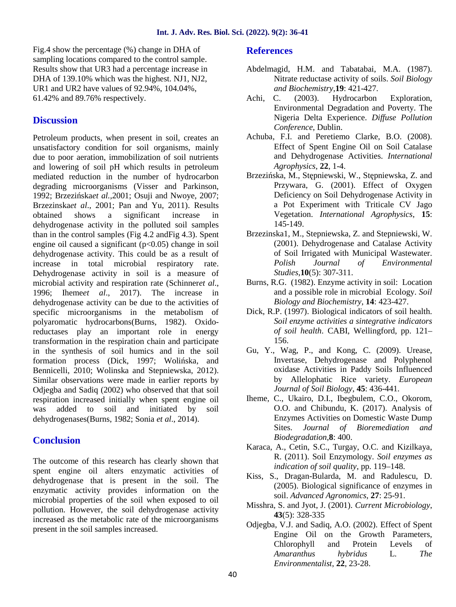Fig.4 show the percentage (%) change in DHA of sampling locations compared to the control sample. Results show that UR3 had a percentage increase in DHA of 139.10% which was the highest. NJ1, NJ2, UR1 and UR2 have values of 92.94%, 104.04%, 61.42% and 89.76% respectively.

# **Discussion**

Petroleum products, when present in soil, creates an unsatisfactory condition for soil organisms, mainly due to poor aeration, immobilization of soil nutrients and lowering of soil pH which results in petroleum mediated reduction in the number of hydrocarbon degrading microorganisms (Visser and Parkinson, 1992; Brzezi skaet al.,2001; Osuji and Nwoye, 2007; Brzezinska*et al*., 2001; Pan and Yu, 2011). Results obtained shows a significant increase in dehydrogenase activity in the polluted soil samples than in the control samples (Fig 4.2 andFig 4.3). Spent engine oil caused a significant  $(p<0.05)$  change in soil dehydrogenase activity. This could be as a result of increase in total microbial respiratory rate. Dehydrogenase activity in soil is a measure of microbial activity and respiration rate (Schinner*et al*., 1996; Iheme*et al*., 2017). The increase in dehydrogenase activity can be due to the activities of specific microorganisms in the metabolism of polyaromatic hydrocarbons(Burns, 1982). Oxidoreductases play an important role in energy transformation in the respiration chain and participate in the synthesis of soil humics and in the soil formation process (Dick, 1997; Woli ska, and Bennicelli, 2010; Wolinska and Stepniewska, 2012). Similar observations were made in earlier reports by Odjegba and Sadiq (2002) who observed that that soil respiration increased initially when spent engine oil was added to soil and initiated by soil dehydrogenases(Burns, 1982; Sonia *et al*., 2014).

# **Conclusion**

The outcome of this research has clearly shown that spent engine oil alters enzymatic activities of dehydrogenase that is present in the soil. The enzymatic activity provides information on the microbial properties of the soil when exposed to oil pollution. However, the soil dehydrogenase activity increased as the metabolic rate of the microorganisms present in the soil samples increased.

#### **References**

- Abdelmagid, H.M. and Tabatabai, M.A. (1987). Nitrate reductase activity of soils. *Soil Biology and Biochemistry*,**19**: 421-427.
- Achi, C. (2003). Hydrocarbon Exploration, Environmental Degradation and Poverty. The Nigeria Delta Experience. *Diffuse Pollution Conference*, Dublin.
- Achuba, F.I. and Peretiemo Clarke, B.O. (2008). Effect of Spent Engine Oil on Soil Catalase and Dehydrogenase Activities. *International Agrophysics*, **22**, 1-4.
- Brzezi ska, M., St pniewski, W., St pniewska, Z. and Przywara, G. (2001). Effect of Oxygen Deficiency on Soil Dehydrogenase Activity in a Pot Experiment with Triticale CV Jago Vegetation. *International Agrophysics*, **15**: 145-149.
- Brzezinska1, M., Stepniewska, Z. and Stepniewski, W. (2001). Dehydrogenase and Catalase Activity of Soil Irrigated with Municipal Wastewater. *Polish Journal of Environmental Studies*,**10**(5): 307-311.
- Burns, R.G. (1982). Enzyme activity in soil: Location and a possible role in microbial Ecology. *Soil Biology and Biochemistry*, **14**: 423-427.
- Dick, R.P. (1997). Biological indicators of soil health. *Soil enzyme activities a sintegrative indicators of soil health*. CABI, Wellingford, pp. 121– 156.
- Gu, Y., Wag, P., and Kong, C. (2009). Urease, Invertase, Dehydrogenase and Polyphenol oxidase Activities in Paddy Soils Influenced by Allelophatic Rice variety. *European Journal of Soil Biology*, **45**: 436-441.
- Iheme, C., Ukairo, D.I., Ibegbulem, C.O., Okorom, O.O. and Chibundu, K. (2017). Analysis of Enzymes Activities on Domestic Waste Dump Sites. *Journal of Bioremediation and Biodegradation*,**8**: 400.
- Karaca, A., Cetin, S.C., Turgay, O.C. and Kizilkaya, R. (2011). Soil Enzymology. *Soil enzymes as indication of soil quality*, pp. 119–148.
- Kiss, S., Dragan-Bularda, M. and Radulescu, D. (2005). Biological significance of enzymes in soil. *Advanced Agronomics*, **27**: 25-91.
- Misshra, S. and Jyot, J. (2001). *Current Microbiology*, **43**(5): 328-335
- Odjegba, V.J. and Sadiq, A.O. (2002). Effect of Spent Engine Oil on the Growth Parameters, Chlorophyll and Protein Levels of *Amaranthus hybridus* L*. The Environmentalist*, **22**, 23-28.